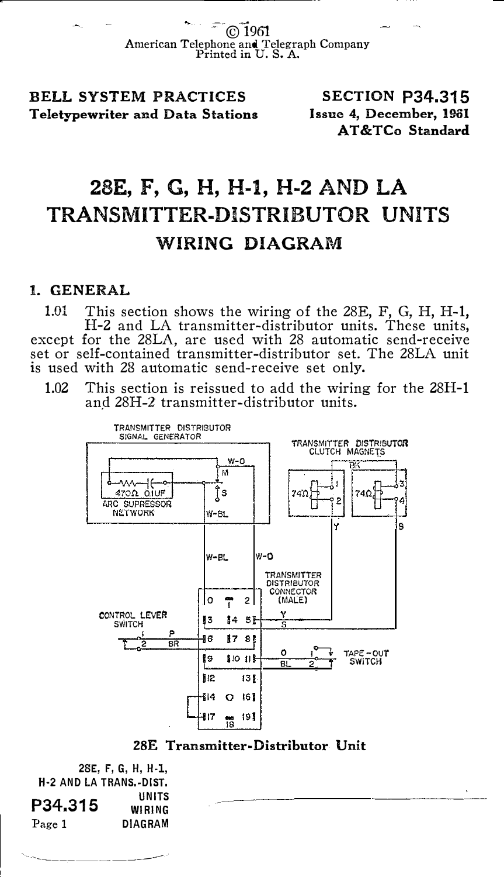1961 American Telephone and Telegraph Company Printed in U. S. A.

BELL SYSTEM PRACTICES Teletypewriter and Data Stations

SECTION P34.315 Issue 4, December, 1961 AT &TCo Standard

## 28E, F, G, H, H-1, H-2 AND LA TRANSMITTER-DISTRIBUTOR UNITS WIRING DIAGRAM

## 1. GENERAL

1.01 This section shows the wiring of the 28E, F, G, H, H-1, H-2 and LA transmitter-distributor units. These units, except for the 28LA, are used with 28 automatic send-receive set or self-contained transmitter-distributor set. The 28LA unit is used with 28 automatic send-receive set only.

1.02 This section is reissued to add the wiring for the 28H-1 and 28H-2 transmitter-distributor units.





2SE, F, G, H, H-1, H·2 AND LA TRANS.·DIST. P34.315 Page 1 UNITS WIRING DIAGRAM

``~---------------<sup>-----</sup>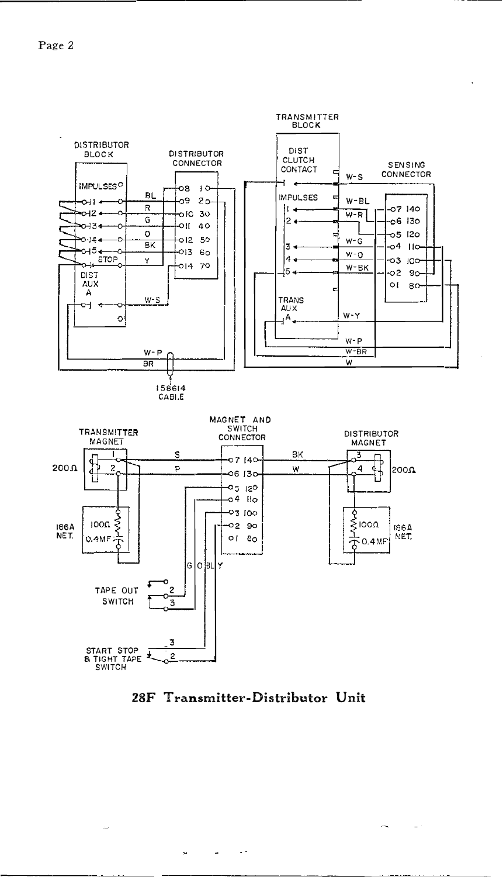

28F Transmitter-Distributor Unit

 $\ddot{\phantom{0}}$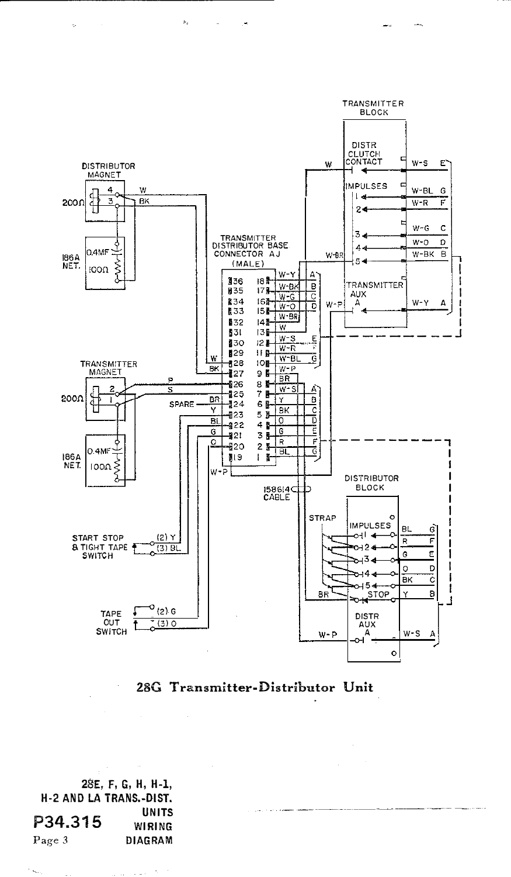



28E, F, G, H, H-1, H-2 AND LA TRANS.-OIST. P34.315 Page 3 **UNITS** WIRING DIAGRAM

k,  $\sim$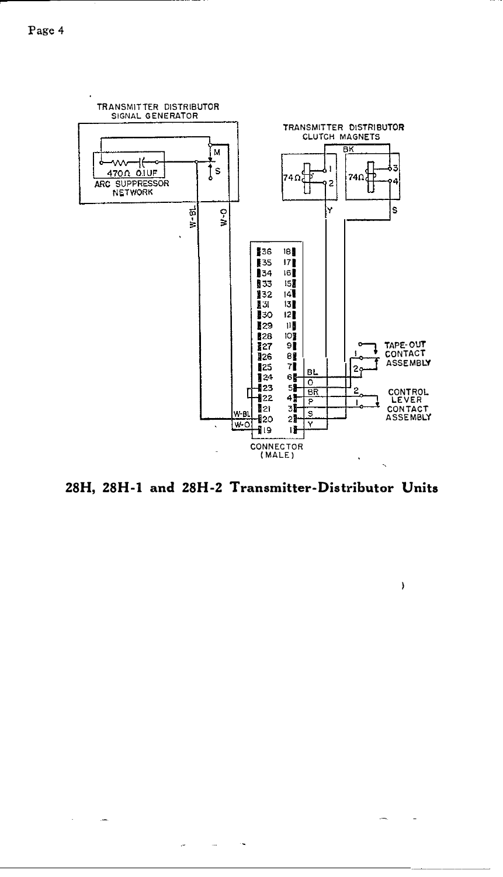$\sim$ 

 $\omega$  .  $\sim 10^{-11}$  $\sim$ 



28H, 28H-1 and 28H-2 Transmitter-Distributor Units

 $\rightarrow$